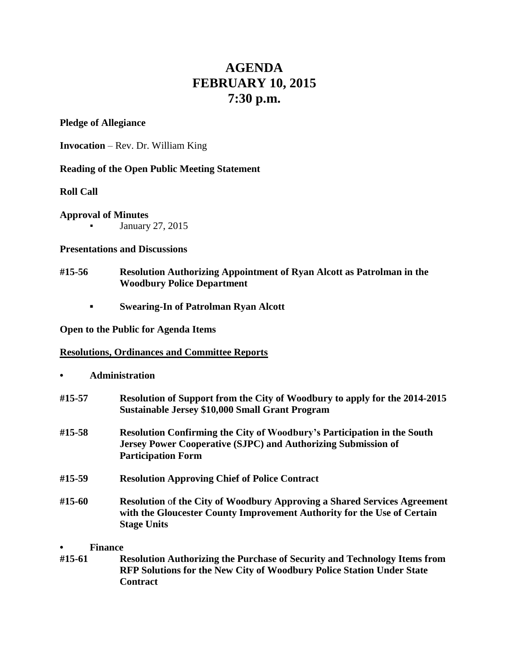# **AGENDA FEBRUARY 10, 2015 7:30 p.m.**

## **Pledge of Allegiance**

**Invocation** – Rev. Dr. William King

# **Reading of the Open Public Meeting Statement**

# **Roll Call**

## **Approval of Minutes**

January 27, 2015

### **Presentations and Discussions**

- **#15-56 Resolution Authorizing Appointment of Ryan Alcott as Patrolman in the Woodbury Police Department**
	- **▪ Swearing-In of Patrolman Ryan Alcott**

## **Open to the Public for Agenda Items**

# **Resolutions, Ordinances and Committee Reports**

### **• Administration**

| #15-57 | Resolution of Support from the City of Woodbury to apply for the 2014-2015<br><b>Sustainable Jersey \$10,000 Small Grant Program</b>                                                |
|--------|-------------------------------------------------------------------------------------------------------------------------------------------------------------------------------------|
| #15-58 | <b>Resolution Confirming the City of Woodbury's Participation in the South</b><br><b>Jersey Power Cooperative (SJPC) and Authorizing Submission of</b><br><b>Participation Form</b> |
| #15-59 | <b>Resolution Approving Chief of Police Contract</b>                                                                                                                                |
| #15-60 | <b>Resolution of the City of Woodbury Approving a Shared Services Agreement</b><br>with the Gloucester County Improvement Authority for the Use of Certain<br><b>Stage Units</b>    |

### **• Finance**

**#15-61 Resolution Authorizing the Purchase of Security and Technology Items from RFP Solutions for the New City of Woodbury Police Station Under State Contract**